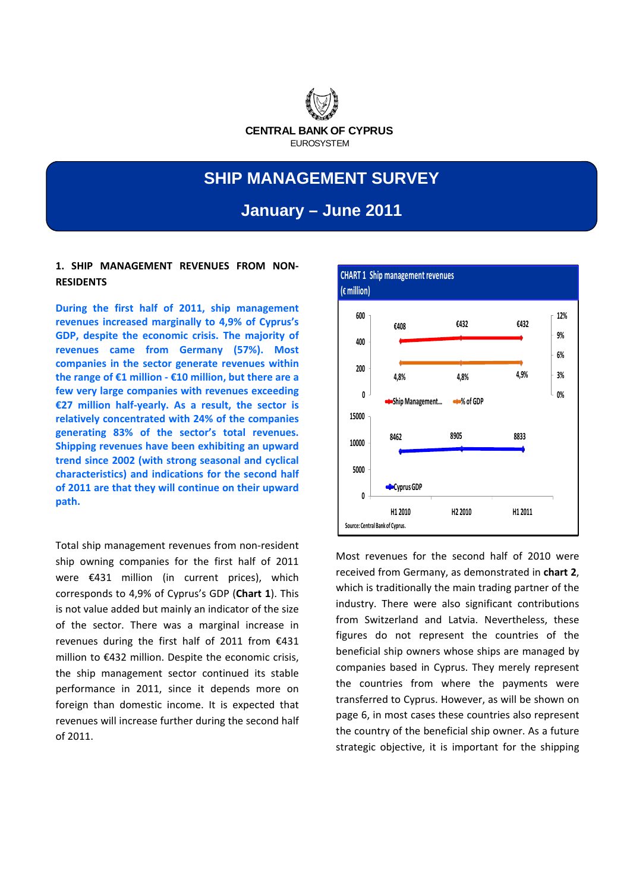

# **SHIP MANAGEMENT SURVEY And 2010** were received from Germany, as demonstrated in the second inter-

**Chartas is traditionally the most important in the most important in the most important in the most important i** January – June 2011

# **1. SHIP MANAGEMENT REVENUES FROM NON‐ RESIDENTS**

**During the first half of 2011, ship management revenues increased marginally to 4,9% of Cyprus's GDP, despite the economic crisis. The majority of revenues came from Germany (57%). Most companies in the sector generate revenues within the range of €1 million ‐ €10 million, but there are a few very large companies with revenues exceeding €27 million half‐yearly. As a result, the sector is relatively concentrated with 24% of the companies generating 83% of the sector's total revenues. Shipping revenues have been exhibiting an upward trend since 2002 (with strong seasonal and cyclical characteristics) and indications for the second half of 2011 are that they will continue on their upward path.** 

Total ship management revenues from non‐resident ship owning companies for the first half of 2011 were €431 million (in current prices), which corresponds to 4,9% of Cyprus's GDP (**Chart 1**). This is not value added but mainly an indicator of the size of the sector. There was a marginal increase in revenues during the first half of 2011 from €431 million to €432 million. Despite the economic crisis, the ship management sector continued its stable performance in 2011, since it depends more on foreign than domestic income. It is expected that revenues will increase further during the second half of 2011.



Most revenues for the second half of 2010 were received from Germany, as demonstrated in **chart 2**, which is traditionally the main trading partner of the industry. There were also significant contributions from Switzerland and Latvia. Nevertheless, these figures do not represent the countries of the beneficial ship owners whose ships are managed by companies based in Cyprus. They merely represent the countries from where the payments were transferred to Cyprus. However, as will be shown on page 6, in most cases these countries also represent the country of the beneficial ship owner. As a future strategic objective, it is important for the shipping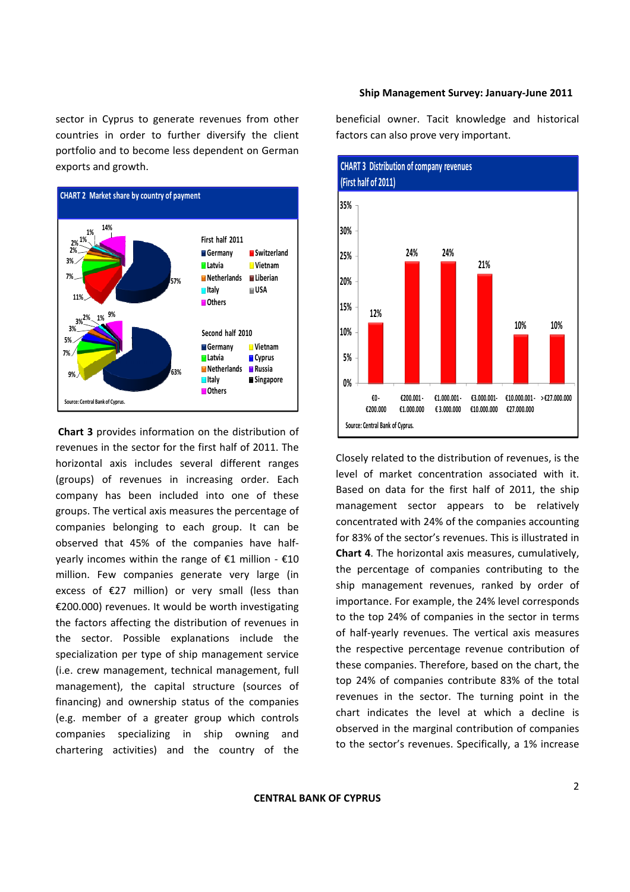sector in Cyprus to generate revenues from other countries in order to further diversify the client portfolio and to become less dependent on German exports and growth.



**Chart 3** provides information on the distribution of revenues in the sector for the first half of 2011. The horizontal axis includes several different ranges (groups) of revenues in increasing order. Each company has been included into one of these groups. The vertical axis measures the percentage of companies belonging to each group. It can be observed that 45% of the companies have half‐ yearly incomes within the range of €1 million  $-$  €10 million. Few companies generate very large (in excess of €27 million) or very small (less than €200.000) revenues. It would be worth investigating the factors affecting the distribution of revenues in the sector. Possible explanations include the specialization per type of ship management service (i.e. crew management, technical management, full management), the capital structure (sources of financing) and ownership status of the companies (e.g. member of a greater group which controls companies specializing in ship owning and chartering activities) and the country of the beneficial owner. Tacit knowledge and historical factors can also prove very important.



Closely related to the distribution of revenues, is the level of market concentration associated with it. Based on data for the first half of 2011, the ship management sector appears to be relatively concentrated with 24% of the companies accounting for 83% of the sector's revenues. This is illustrated in **Chart 4**. The horizontal axis measures, cumulatively, the percentage of companies contributing to the ship management revenues, ranked by order of importance. For example, the 24% level corresponds to the top 24% of companies in the sector in terms of half‐yearly revenues. The vertical axis measures the respective percentage revenue contribution of these companies. Therefore, based on the chart, the top 24% of companies contribute 83% of the total revenues in the sector. The turning point in the chart indicates the level at which a decline is observed in the marginal contribution of companies to the sector's revenues. Specifically, a 1% increase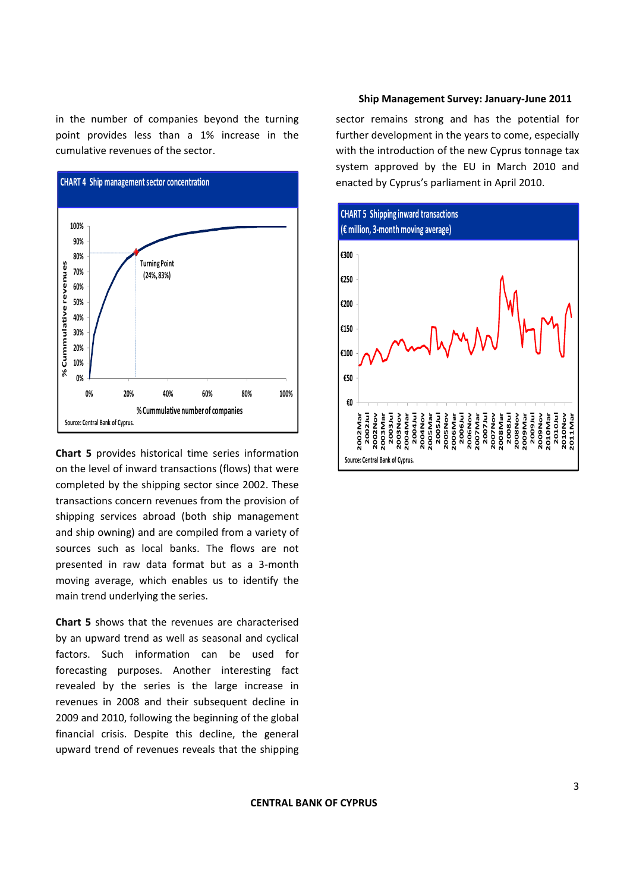in the number of companies beyond the turning point provides less than a 1% increase in the cumulative revenues of the sector.



**Chart 5** provides historical time series information on the level of inward transactions (flows) that were completed by the shipping sector since 2002. These transactions concern revenues from the provision of shipping services abroad (both ship management and ship owning) and are compiled from a variety of sources such as local banks. The flows are not presented in raw data format but as a 3‐month moving average, which enables us to identify the main trend underlying the series.

**Chart 5** shows that the revenues are characterised by an upward trend as well as seasonal and cyclical factors. Such information can be used for forecasting purposes. Another interesting fact revealed by the series is the large increase in revenues in 2008 and their subsequent decline in 2009 and 2010, following the beginning of the global financial crisis. Despite this decline, the general upward trend of revenues reveals that the shipping

#### **Ship Management Survey: January‐June 2011**

sector remains strong and has the potential for further development in the years to come, especially with the introduction of the new Cyprus tonnage tax system approved by the EU in March 2010 and enacted by Cyprus's parliament in April 2010.

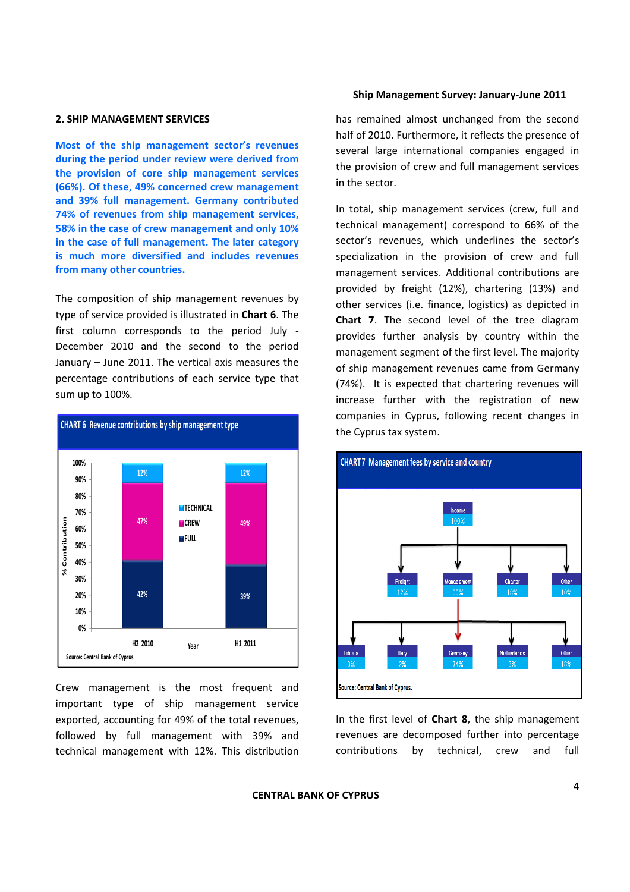# **2. SHIP MANAGEMENT SERVICES**

**Most of the ship management sector's revenues during the period under review were derived from the provision of core ship management services (66%). Of these, 49% concerned crew management and 39% full management. Germany contributed 74% of revenues from ship management services, 58% in the case of crew management and only 10% in the case of full management. The later category is much more diversified and includes revenues from many other countries.**

The composition of ship management revenues by type of service provided is illustrated in **Chart 6**. The first column corresponds to the period July ‐ December 2010 and the second to the period January – June 2011. The vertical axis measures the percentage contributions of each service type that sum up to 100%.



Crew management is the most frequent and important type of ship management service exported, accounting for 49% of the total revenues, followed by full management with 39% and technical management with 12%. This distribution

#### **Ship Management Survey: January‐June 2011**

has remained almost unchanged from the second half of 2010. Furthermore, it reflects the presence of several large international companies engaged in the provision of crew and full management services in the sector.

In total, ship management services (crew, full and technical management) correspond to 66% of the sector's revenues, which underlines the sector's specialization in the provision of crew and full management services. Additional contributions are provided by freight (12%), chartering (13%) and other services (i.e. finance, logistics) as depicted in **Chart 7**. The second level of the tree diagram provides further analysis by country within the management segment of the first level. The majority of ship management revenues came from Germany (74%). It is expected that chartering revenues will increase further with the registration of new companies in Cyprus, following recent changes in the Cyprus tax system.



In the first level of **Chart 8**, the ship management revenues are decomposed further into percentage contributions by technical, crew and full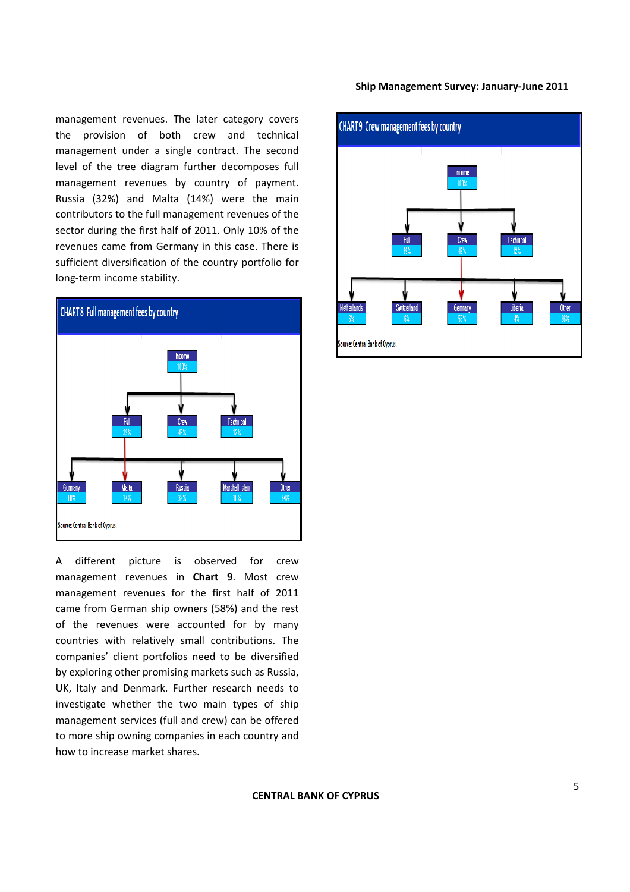management revenues. The later category covers the provision of both crew and technical management under a single contract. The second level of the tree diagram further decomposes full management revenues by country of payment. Russia (32%) and Malta (14%) were the main contributors to the full management revenues of the sector during the first half of 2011. Only 10% of the revenues came from Germany in this case. There is sufficient diversification of the country portfolio for long‐term income stability.



A different picture is observed for crew management revenues in **Chart 9**. Most crew management revenues for the first half of 2011 came from German ship owners (58%) and the rest of the revenues were accounted for by many countries with relatively small contributions. The companies' client portfolios need to be diversified by exploring other promising markets such as Russia, UK, Italy and Denmark. Further research needs to investigate whether the two main types of ship management services (full and crew) can be offered to more ship owning companies in each country and how to increase market shares.

# **Ship Management Survey: January‐June 2011**

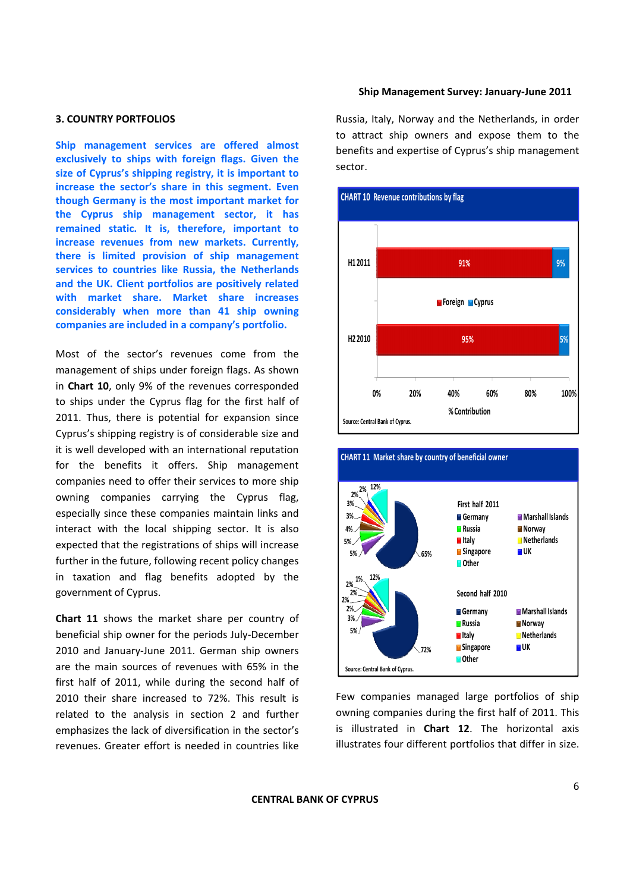# **3. COUNTRY PORTFOLIOS**

**Ship management services are offered almost exclusively to ships with foreign flags. Given the size of Cyprus's shipping registry, it is important to increase the sector's share in this segment. Even though Germany is the most important market for the Cyprus ship management sector, it has remained static. It is, therefore, important to increase revenues from new markets. Currently, there is limited provision of ship management services to countries like Russia, the Netherlands and the UK. Client portfolios are positively related with market share. Market share increases considerably when more than 41 ship owning companies are included in a company's portfolio.**

Most of the sector's revenues come from the management of ships under foreign flags. As shown in **Chart 10**, only 9% of the revenues corresponded to ships under the Cyprus flag for the first half of 2011. Thus, there is potential for expansion since Cyprus's shipping registry is of considerable size and it is well developed with an international reputation for the benefits it offers. Ship management companies need to offer their services to more ship owning companies carrying the Cyprus flag, especially since these companies maintain links and interact with the local shipping sector. It is also expected that the registrations of ships will increase further in the future, following recent policy changes in taxation and flag benefits adopted by the government of Cyprus.

**Chart 11** shows the market share per country of beneficial ship owner for the periods July‐December 2010 and January‐June 2011. German ship owners are the main sources of revenues with 65% in the first half of 2011, while during the second half of 2010 their share increased to 72%. This result is related to the analysis in section 2 and further emphasizes the lack of diversification in the sector's revenues. Greater effort is needed in countries like Russia, Italy, Norway and the Netherlands, in order to attract ship owners and expose them to the benefits and expertise of Cyprus's ship management sector.





Few companies managed large portfolios of ship owning companies during the first half of 2011. This is illustrated in **Chart 12**. The horizontal axis illustrates four different portfolios that differ in size.

**CENTRAL BANK OF CYPRUS**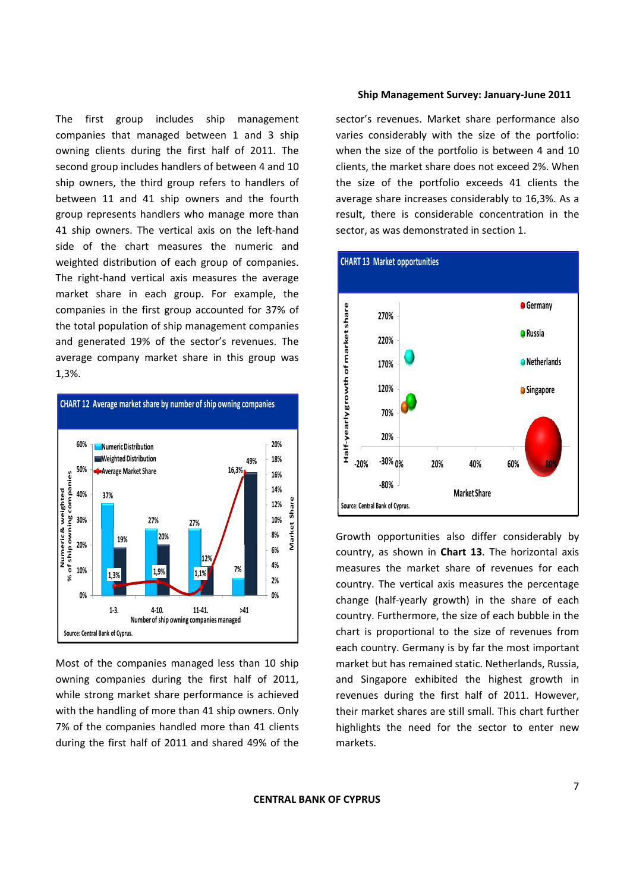The first group includes ship management companies that managed between 1 and 3 ship owning clients during the first half of 2011. The second group includes handlers of between 4 and 10 ship owners, the third group refers to handlers of between 11 and 41 ship owners and the fourth group represents handlers who manage more than 41 ship owners. The vertical axis on the left-hand side of the chart measures the numeric and weighted distribution of each group of companies. The right-hand vertical axis measures the average market share in each group. For example, the companies in the first group accounted for 37% of the total population of ship management companies and generated 19% of the sector's revenues. The average company market share in this group was 1,3%.



Most of the companies managed less than 10 ship owning companies during the first half of 2011, while strong market share performance is achieved with the handling of more than 41 ship owners. Only 7% of the companies handled more than 41 clients during the first half of 2011 and shared 49% of the

#### **Ship Management Survey: January‐June 2011**

sector's revenues. Market share performance also varies considerably with the size of the portfolio: when the size of the portfolio is between 4 and 10 clients, the market share does not exceed 2%. When the size of the portfolio exceeds 41 clients the average share increases considerably to 16,3%. As a result, there is considerable concentration in the sector, as was demonstrated in section 1.



Growth opportunities also differ considerably by country, as shown in **Chart 13**. The horizontal axis measures the market share of revenues for each country. The vertical axis measures the percentage change (half‐yearly growth) in the share of each country. Furthermore, the size of each bubble in the chart is proportional to the size of revenues from each country. Germany is by far the most important market but has remained static. Netherlands, Russia, and Singapore exhibited the highest growth in revenues during the first half of 2011. However, their market shares are still small. This chart further highlights the need for the sector to enter new markets.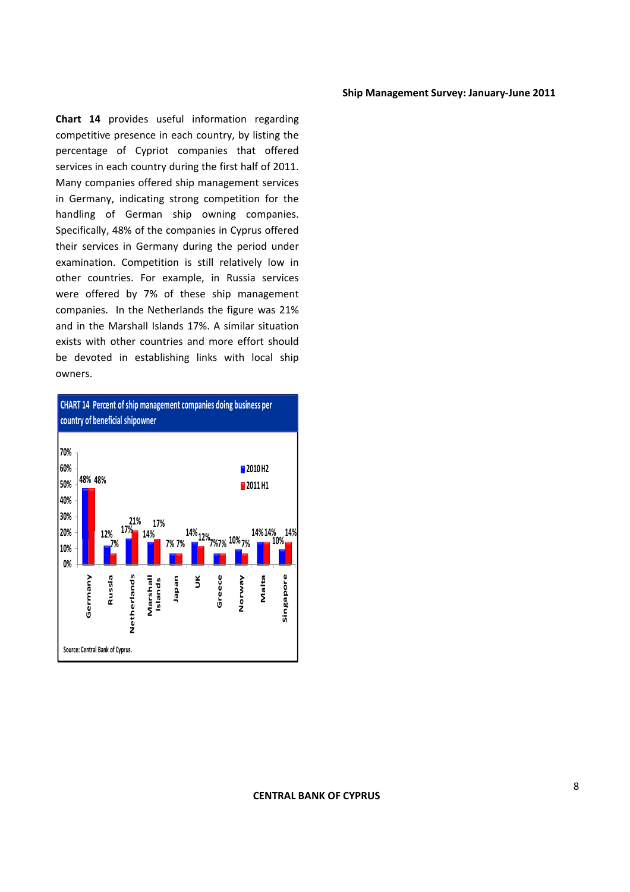**Chart 14** provides useful information regarding competitive presence in each country, by listing the percentage of Cypriot companies that offered services in each country during the first half of 2011. Many companies offered ship management services in Germany, indicating strong competition for the handling of German ship owning companies. Specifically, 48% of the companies in Cyprus offered their services in Germany during the period under examination. Competition is still relatively low in other countries. For example, in Russia services were offered by 7% of these ship management companies. In the Netherlands the figure was 21% and in the Marshall Islands 17%. A similar situation exists with other countries and more effort should be devoted in establishing links with local ship owners.

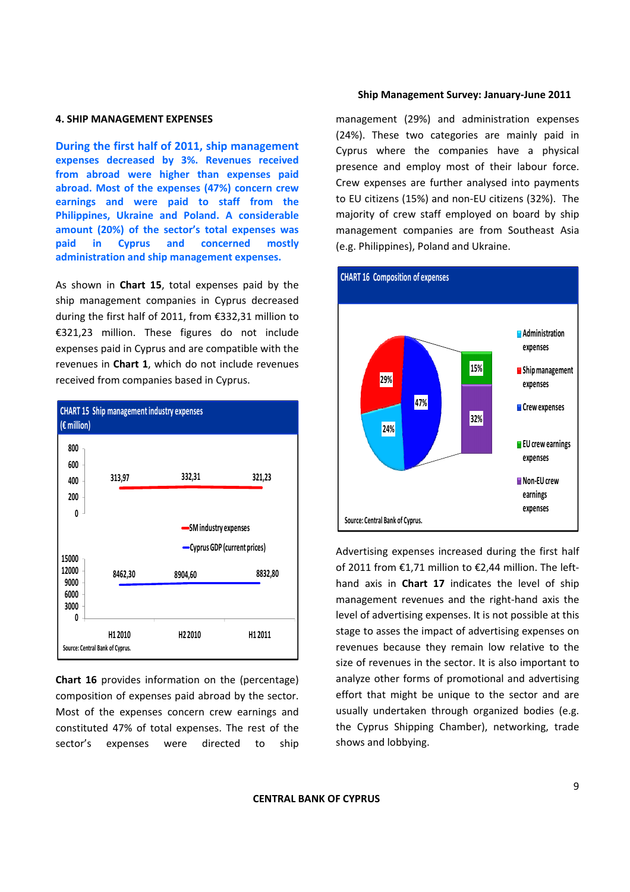#### **4. SHIP MANAGEMENT EXPENSES**

**During the first half of 2011, ship management expenses decreased by 3%. Revenues received from abroad were higher than expenses paid abroad. Most of the expenses (47%) concern crew earnings and were paid to staff from the Philippines, Ukraine and Poland. A considerable amount (20%) of the sector's total expenses was paid in Cyprus and concerned mostly administration and ship management expenses.**

As shown in **Chart 15**, total expenses paid by the ship management companies in Cyprus decreased during the first half of 2011, from €332,31 million to €321,23 million. These figures do not include expenses paid in Cyprus and are compatible with the revenues in **Chart 1**, which do not include revenues received from companies based in Cyprus.



**Chart 16** provides information on the (percentage) composition of expenses paid abroad by the sector. Most of the expenses concern crew earnings and constituted 47% of total expenses. The rest of the sector's expenses were directed to ship

#### **Ship Management Survey: January‐June 2011**

management (29%) and administration expenses (24%). These two categories are mainly paid in Cyprus where the companies have a physical presence and employ most of their labour force. Crew expenses are further analysed into payments to EU citizens (15%) and non‐EU citizens (32%). The majority of crew staff employed on board by ship management companies are from Southeast Asia (e.g. Philippines), Poland and Ukraine.



Advertising expenses increased during the first half of 2011 from €1,71 million to €2,44 million. The left‐ hand axis in **Chart 17** indicates the level of ship management revenues and the right‐hand axis the level of advertising expenses. It is not possible at this stage to asses the impact of advertising expenses on revenues because they remain low relative to the size of revenues in the sector. It is also important to analyze other forms of promotional and advertising effort that might be unique to the sector and are usually undertaken through organized bodies (e.g. the Cyprus Shipping Chamber), networking, trade shows and lobbying.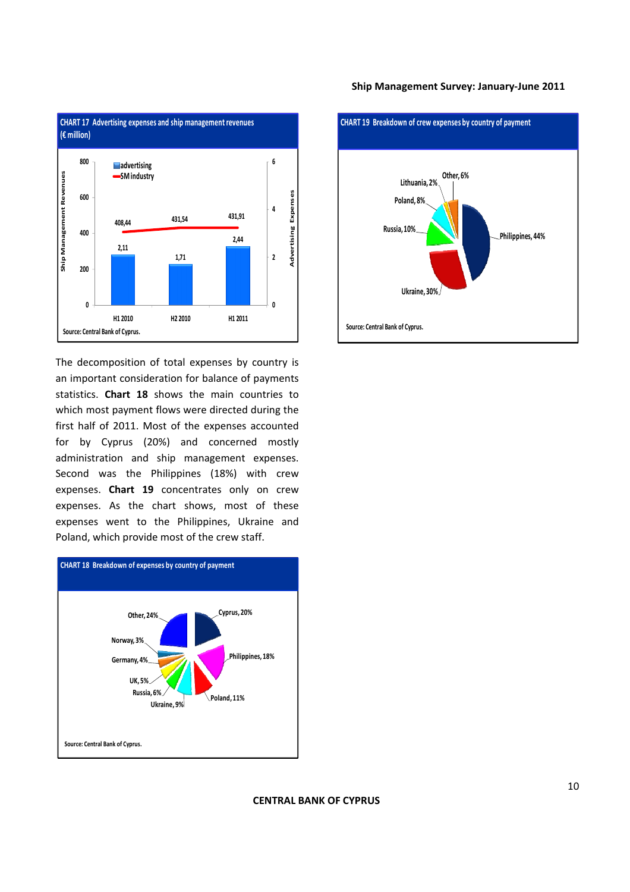

The decomposition of total expenses by country is an important consideration for balance of payments statistics. **Chart 18** shows the main countries to which most payment flows were directed during the first half of 2011. Most of the expenses accounted for by Cyprus (20%) and concerned mostly administration and ship management expenses. Second was the Philippines (18%) with crew expenses. **Chart 19** concentrates only on crew expenses. As the chart shows, most of these expenses went to the Philippines, Ukraine and Poland, which provide most of the crew staff.



# **Ship Management Survey: January‐June 2011**



# **CENTRAL BANK OF CYPRUS**